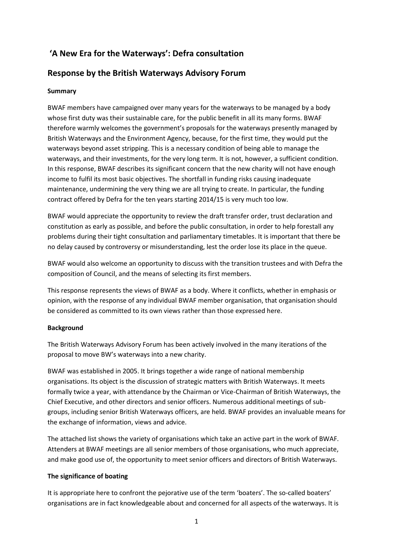# **'A New Era for the Waterways': Defra consultation**

# **Response by the British Waterways Advisory Forum**

### **Summary**

BWAF members have campaigned over many years for the waterways to be managed by a body whose first duty was their sustainable care, for the public benefit in all its many forms. BWAF therefore warmly welcomes the government's proposals for the waterways presently managed by British Waterways and the Environment Agency, because, for the first time, they would put the waterways beyond asset stripping. This is a necessary condition of being able to manage the waterways, and their investments, for the very long term. It is not, however, a sufficient condition. In this response, BWAF describes its significant concern that the new charity will not have enough income to fulfil its most basic objectives. The shortfall in funding risks causing inadequate maintenance, undermining the very thing we are all trying to create. In particular, the funding contract offered by Defra for the ten years starting 2014/15 is very much too low.

BWAF would appreciate the opportunity to review the draft transfer order, trust declaration and constitution as early as possible, and before the public consultation, in order to help forestall any problems during their tight consultation and parliamentary timetables. It is important that there be no delay caused by controversy or misunderstanding, lest the order lose its place in the queue.

BWAF would also welcome an opportunity to discuss with the transition trustees and with Defra the composition of Council, and the means of selecting its first members.

This response represents the views of BWAF as a body. Where it conflicts, whether in emphasis or opinion, with the response of any individual BWAF member organisation, that organisation should be considered as committed to its own views rather than those expressed here.

### **Background**

The British Waterways Advisory Forum has been actively involved in the many iterations of the proposal to move BW's waterways into a new charity.

BWAF was established in 2005. It brings together a wide range of national membership organisations. Its object is the discussion of strategic matters with British Waterways. It meets formally twice a year, with attendance by the Chairman or Vice-Chairman of British Waterways, the Chief Executive, and other directors and senior officers. Numerous additional meetings of subgroups, including senior British Waterways officers, are held. BWAF provides an invaluable means for the exchange of information, views and advice.

The attached list shows the variety of organisations which take an active part in the work of BWAF. Attenders at BWAF meetings are all senior members of those organisations, who much appreciate, and make good use of, the opportunity to meet senior officers and directors of British Waterways.

### **The significance of boating**

It is appropriate here to confront the pejorative use of the term 'boaters'. The so-called boaters' organisations are in fact knowledgeable about and concerned for all aspects of the waterways. It is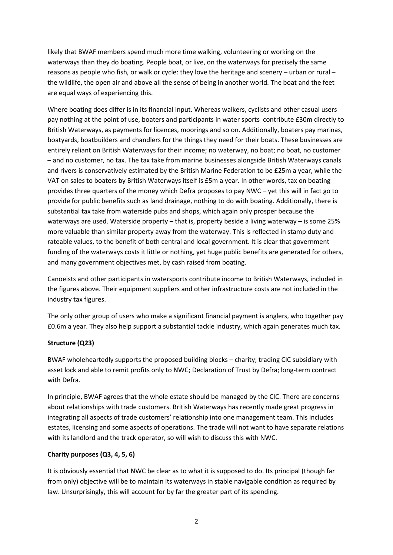likely that BWAF members spend much more time walking, volunteering or working on the waterways than they do boating. People boat, or live, on the waterways for precisely the same reasons as people who fish, or walk or cycle: they love the heritage and scenery – urban or rural – the wildlife, the open air and above all the sense of being in another world. The boat and the feet are equal ways of experiencing this.

Where boating does differ is in its financial input. Whereas walkers, cyclists and other casual users pay nothing at the point of use, boaters and participants in water sports contribute £30m directly to British Waterways, as payments for licences, moorings and so on. Additionally, boaters pay marinas, boatyards, boatbuilders and chandlers for the things they need for their boats. These businesses are entirely reliant on British Waterways for their income; no waterway, no boat; no boat, no customer – and no customer, no tax. The tax take from marine businesses alongside British Waterways canals and rivers is conservatively estimated by the British Marine Federation to be £25m a year, while the VAT on sales to boaters by British Waterways itself is £5m a year. In other words, tax on boating provides three quarters of the money which Defra proposes to pay NWC – yet this will in fact go to provide for public benefits such as land drainage, nothing to do with boating. Additionally, there is substantial tax take from waterside pubs and shops, which again only prosper because the waterways are used. Waterside property – that is, property beside a living waterway – is some 25% more valuable than similar property away from the waterway. This is reflected in stamp duty and rateable values, to the benefit of both central and local government. It is clear that government funding of the waterways costs it little or nothing, yet huge public benefits are generated for others, and many government objectives met, by cash raised from boating.

Canoeists and other participants in watersports contribute income to British Waterways, included in the figures above. Their equipment suppliers and other infrastructure costs are not included in the industry tax figures.

The only other group of users who make a significant financial payment is anglers, who together pay £0.6m a year. They also help support a substantial tackle industry, which again generates much tax.

### **Structure (Q23)**

BWAF wholeheartedly supports the proposed building blocks – charity; trading CIC subsidiary with asset lock and able to remit profits only to NWC; Declaration of Trust by Defra; long-term contract with Defra.

In principle, BWAF agrees that the whole estate should be managed by the CIC. There are concerns about relationships with trade customers. British Waterways has recently made great progress in integrating all aspects of trade customers' relationship into one management team. This includes estates, licensing and some aspects of operations. The trade will not want to have separate relations with its landlord and the track operator, so will wish to discuss this with NWC.

### **Charity purposes (Q3, 4, 5, 6)**

It is obviously essential that NWC be clear as to what it is supposed to do. Its principal (though far from only) objective will be to maintain its waterways in stable navigable condition as required by law. Unsurprisingly, this will account for by far the greater part of its spending.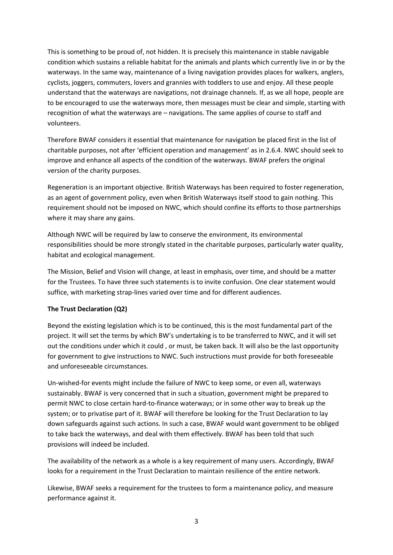This is something to be proud of, not hidden. It is precisely this maintenance in stable navigable condition which sustains a reliable habitat for the animals and plants which currently live in or by the waterways. In the same way, maintenance of a living navigation provides places for walkers, anglers, cyclists, joggers, commuters, lovers and grannies with toddlers to use and enjoy. All these people understand that the waterways are navigations, not drainage channels. If, as we all hope, people are to be encouraged to use the waterways more, then messages must be clear and simple, starting with recognition of what the waterways are – navigations. The same applies of course to staff and volunteers.

Therefore BWAF considers it essential that maintenance for navigation be placed first in the list of charitable purposes, not after 'efficient operation and management' as in 2.6.4. NWC should seek to improve and enhance all aspects of the condition of the waterways. BWAF prefers the original version of the charity purposes.

Regeneration is an important objective. British Waterways has been required to foster regeneration, as an agent of government policy, even when British Waterways itself stood to gain nothing. This requirement should not be imposed on NWC, which should confine its efforts to those partnerships where it may share any gains.

Although NWC will be required by law to conserve the environment, its environmental responsibilities should be more strongly stated in the charitable purposes, particularly water quality, habitat and ecological management.

The Mission, Belief and Vision will change, at least in emphasis, over time, and should be a matter for the Trustees. To have three such statements is to invite confusion. One clear statement would suffice, with marketing strap-lines varied over time and for different audiences.

#### **The Trust Declaration (Q2)**

Beyond the existing legislation which is to be continued, this is the most fundamental part of the project. It will set the terms by which BW's undertaking is to be transferred to NWC, and it will set out the conditions under which it could , or must, be taken back. It will also be the last opportunity for government to give instructions to NWC. Such instructions must provide for both foreseeable and unforeseeable circumstances.

Un-wished-for events might include the failure of NWC to keep some, or even all, waterways sustainably. BWAF is very concerned that in such a situation, government might be prepared to permit NWC to close certain hard-to-finance waterways; or in some other way to break up the system; or to privatise part of it. BWAF will therefore be looking for the Trust Declaration to lay down safeguards against such actions. In such a case, BWAF would want government to be obliged to take back the waterways, and deal with them effectively. BWAF has been told that such provisions will indeed be included.

The availability of the network as a whole is a key requirement of many users. Accordingly, BWAF looks for a requirement in the Trust Declaration to maintain resilience of the entire network.

Likewise, BWAF seeks a requirement for the trustees to form a maintenance policy, and measure performance against it.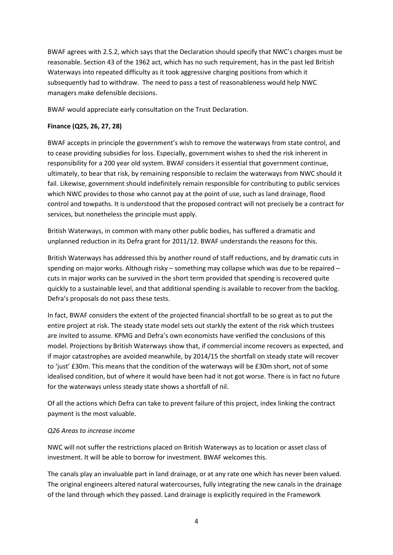BWAF agrees with 2.5.2, which says that the Declaration should specify that NWC's charges must be reasonable. Section 43 of the 1962 act, which has no such requirement, has in the past led British Waterways into repeated difficulty as it took aggressive charging positions from which it subsequently had to withdraw. The need to pass a test of reasonableness would help NWC managers make defensible decisions.

BWAF would appreciate early consultation on the Trust Declaration.

### **Finance (Q25, 26, 27, 28)**

BWAF accepts in principle the government's wish to remove the waterways from state control, and to cease providing subsidies for loss. Especially, government wishes to shed the risk inherent in responsibility for a 200 year old system. BWAF considers it essential that government continue, ultimately, to bear that risk, by remaining responsible to reclaim the waterways from NWC should it fail. Likewise, government should indefinitely remain responsible for contributing to public services which NWC provides to those who cannot pay at the point of use, such as land drainage, flood control and towpaths. It is understood that the proposed contract will not precisely be a contract for services, but nonetheless the principle must apply.

British Waterways, in common with many other public bodies, has suffered a dramatic and unplanned reduction in its Defra grant for 2011/12. BWAF understands the reasons for this.

British Waterways has addressed this by another round of staff reductions, and by dramatic cuts in spending on major works. Although risky – something may collapse which was due to be repaired – cuts in major works can be survived in the short term provided that spending is recovered quite quickly to a sustainable level, and that additional spending is available to recover from the backlog. Defra's proposals do not pass these tests.

In fact, BWAF considers the extent of the projected financial shortfall to be so great as to put the entire project at risk. The steady state model sets out starkly the extent of the risk which trustees are invited to assume. KPMG and Defra's own economists have verified the conclusions of this model. Projections by British Waterways show that, if commercial income recovers as expected, and if major catastrophes are avoided meanwhile, by 2014/15 the shortfall on steady state will recover to 'just' £30m. This means that the condition of the waterways will be £30m short, not of some idealised condition, but of where it would have been had it not got worse. There is in fact no future for the waterways unless steady state shows a shortfall of nil.

Of all the actions which Defra can take to prevent failure of this project, index linking the contract payment is the most valuable.

#### *Q26 Areas to increase income*

NWC will not suffer the restrictions placed on British Waterways as to location or asset class of investment. It will be able to borrow for investment. BWAF welcomes this.

The canals play an invaluable part in land drainage, or at any rate one which has never been valued. The original engineers altered natural watercourses, fully integrating the new canals in the drainage of the land through which they passed. Land drainage is explicitly required in the Framework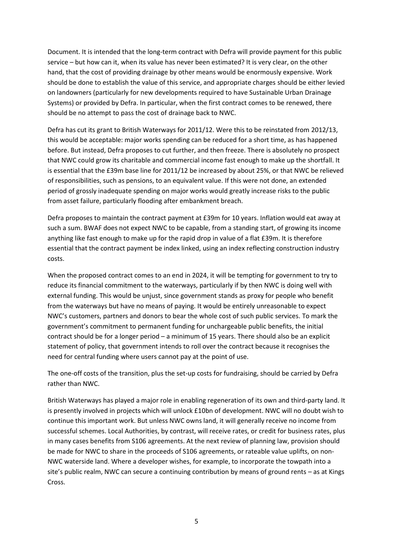Document. It is intended that the long-term contract with Defra will provide payment for this public service – but how can it, when its value has never been estimated? It is very clear, on the other hand, that the cost of providing drainage by other means would be enormously expensive. Work should be done to establish the value of this service, and appropriate charges should be either levied on landowners (particularly for new developments required to have Sustainable Urban Drainage Systems) or provided by Defra. In particular, when the first contract comes to be renewed, there should be no attempt to pass the cost of drainage back to NWC.

Defra has cut its grant to British Waterways for 2011/12. Were this to be reinstated from 2012/13, this would be acceptable: major works spending can be reduced for a short time, as has happened before. But instead, Defra proposes to cut further, and then freeze. There is absolutely no prospect that NWC could grow its charitable and commercial income fast enough to make up the shortfall. It is essential that the £39m base line for 2011/12 be increased by about 25%, or that NWC be relieved of responsibilities, such as pensions, to an equivalent value. If this were not done, an extended period of grossly inadequate spending on major works would greatly increase risks to the public from asset failure, particularly flooding after embankment breach.

Defra proposes to maintain the contract payment at £39m for 10 years. Inflation would eat away at such a sum. BWAF does not expect NWC to be capable, from a standing start, of growing its income anything like fast enough to make up for the rapid drop in value of a flat £39m. It is therefore essential that the contract payment be index linked, using an index reflecting construction industry costs.

When the proposed contract comes to an end in 2024, it will be tempting for government to try to reduce its financial commitment to the waterways, particularly if by then NWC is doing well with external funding. This would be unjust, since government stands as proxy for people who benefit from the waterways but have no means of paying. It would be entirely unreasonable to expect NWC's customers, partners and donors to bear the whole cost of such public services. To mark the government's commitment to permanent funding for unchargeable public benefits, the initial contract should be for a longer period – a minimum of 15 years. There should also be an explicit statement of policy, that government intends to roll over the contract because it recognises the need for central funding where users cannot pay at the point of use.

The one-off costs of the transition, plus the set-up costs for fundraising, should be carried by Defra rather than NWC.

British Waterways has played a major role in enabling regeneration of its own and third-party land. It is presently involved in projects which will unlock £10bn of development. NWC will no doubt wish to continue this important work. But unless NWC owns land, it will generally receive no income from successful schemes. Local Authorities, by contrast, will receive rates, or credit for business rates, plus in many cases benefits from S106 agreements. At the next review of planning law, provision should be made for NWC to share in the proceeds of S106 agreements, or rateable value uplifts, on non-NWC waterside land. Where a developer wishes, for example, to incorporate the towpath into a site's public realm, NWC can secure a continuing contribution by means of ground rents – as at Kings Cross.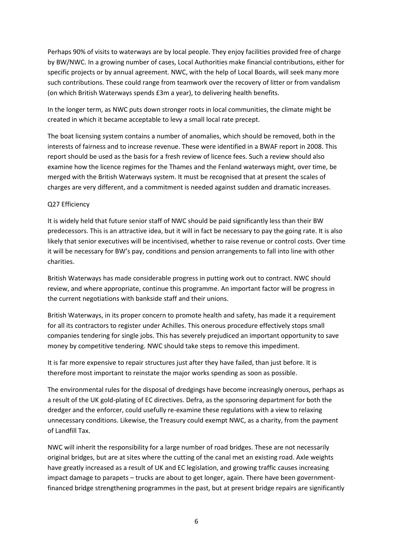Perhaps 90% of visits to waterways are by local people. They enjoy facilities provided free of charge by BW/NWC. In a growing number of cases, Local Authorities make financial contributions, either for specific projects or by annual agreement. NWC, with the help of Local Boards, will seek many more such contributions. These could range from teamwork over the recovery of litter or from vandalism (on which British Waterways spends £3m a year), to delivering health benefits.

In the longer term, as NWC puts down stronger roots in local communities, the climate might be created in which it became acceptable to levy a small local rate precept.

The boat licensing system contains a number of anomalies, which should be removed, both in the interests of fairness and to increase revenue. These were identified in a BWAF report in 2008. This report should be used as the basis for a fresh review of licence fees. Such a review should also examine how the licence regimes for the Thames and the Fenland waterways might, over time, be merged with the British Waterways system. It must be recognised that at present the scales of charges are very different, and a commitment is needed against sudden and dramatic increases.

#### Q27 Efficiency

It is widely held that future senior staff of NWC should be paid significantly less than their BW predecessors. This is an attractive idea, but it will in fact be necessary to pay the going rate. It is also likely that senior executives will be incentivised, whether to raise revenue or control costs. Over time it will be necessary for BW's pay, conditions and pension arrangements to fall into line with other charities.

British Waterways has made considerable progress in putting work out to contract. NWC should review, and where appropriate, continue this programme. An important factor will be progress in the current negotiations with bankside staff and their unions.

British Waterways, in its proper concern to promote health and safety, has made it a requirement for all its contractors to register under Achilles. This onerous procedure effectively stops small companies tendering for single jobs. This has severely prejudiced an important opportunity to save money by competitive tendering. NWC should take steps to remove this impediment.

It is far more expensive to repair structures just after they have failed, than just before. It is therefore most important to reinstate the major works spending as soon as possible.

The environmental rules for the disposal of dredgings have become increasingly onerous, perhaps as a result of the UK gold-plating of EC directives. Defra, as the sponsoring department for both the dredger and the enforcer, could usefully re-examine these regulations with a view to relaxing unnecessary conditions. Likewise, the Treasury could exempt NWC, as a charity, from the payment of Landfill Tax.

NWC will inherit the responsibility for a large number of road bridges. These are not necessarily original bridges, but are at sites where the cutting of the canal met an existing road. Axle weights have greatly increased as a result of UK and EC legislation, and growing traffic causes increasing impact damage to parapets – trucks are about to get longer, again. There have been governmentfinanced bridge strengthening programmes in the past, but at present bridge repairs are significantly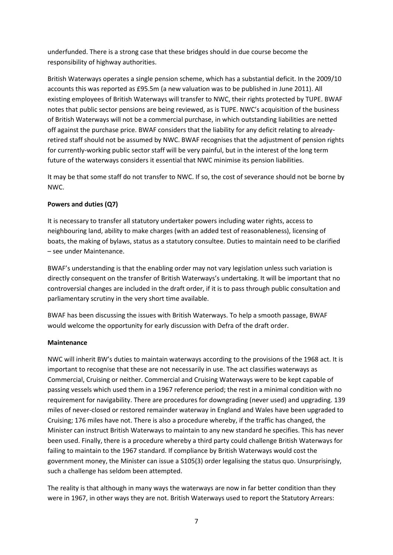underfunded. There is a strong case that these bridges should in due course become the responsibility of highway authorities.

British Waterways operates a single pension scheme, which has a substantial deficit. In the 2009/10 accounts this was reported as £95.5m (a new valuation was to be published in June 2011). All existing employees of British Waterways will transfer to NWC, their rights protected by TUPE. BWAF notes that public sector pensions are being reviewed, as is TUPE. NWC's acquisition of the business of British Waterways will not be a commercial purchase, in which outstanding liabilities are netted off against the purchase price. BWAF considers that the liability for any deficit relating to alreadyretired staff should not be assumed by NWC. BWAF recognises that the adjustment of pension rights for currently-working public sector staff will be very painful, but in the interest of the long term future of the waterways considers it essential that NWC minimise its pension liabilities.

It may be that some staff do not transfer to NWC. If so, the cost of severance should not be borne by NWC.

# **Powers and duties (Q7)**

It is necessary to transfer all statutory undertaker powers including water rights, access to neighbouring land, ability to make charges (with an added test of reasonableness), licensing of boats, the making of bylaws, status as a statutory consultee. Duties to maintain need to be clarified – see under Maintenance.

BWAF's understanding is that the enabling order may not vary legislation unless such variation is directly consequent on the transfer of British Waterways's undertaking. It will be important that no controversial changes are included in the draft order, if it is to pass through public consultation and parliamentary scrutiny in the very short time available.

BWAF has been discussing the issues with British Waterways. To help a smooth passage, BWAF would welcome the opportunity for early discussion with Defra of the draft order.

### **Maintenance**

NWC will inherit BW's duties to maintain waterways according to the provisions of the 1968 act. It is important to recognise that these are not necessarily in use. The act classifies waterways as Commercial, Cruising or neither. Commercial and Cruising Waterways were to be kept capable of passing vessels which used them in a 1967 reference period; the rest in a minimal condition with no requirement for navigability. There are procedures for downgrading (never used) and upgrading. 139 miles of never-closed or restored remainder waterway in England and Wales have been upgraded to Cruising; 176 miles have not. There is also a procedure whereby, if the traffic has changed, the Minister can instruct British Waterways to maintain to any new standard he specifies. This has never been used. Finally, there is a procedure whereby a third party could challenge British Waterways for failing to maintain to the 1967 standard. If compliance by British Waterways would cost the government money, the Minister can issue a S105(3) order legalising the status quo. Unsurprisingly, such a challenge has seldom been attempted.

The reality is that although in many ways the waterways are now in far better condition than they were in 1967, in other ways they are not. British Waterways used to report the Statutory Arrears: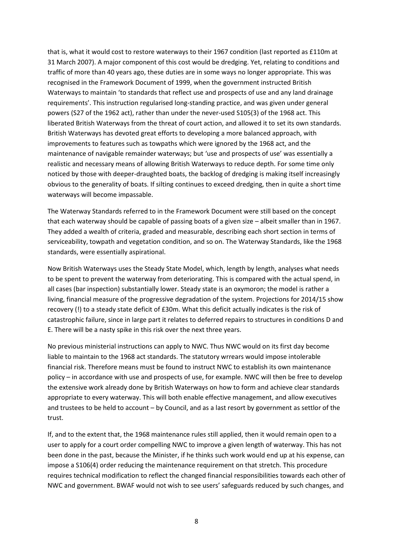that is, what it would cost to restore waterways to their 1967 condition (last reported as £110m at 31 March 2007). A major component of this cost would be dredging. Yet, relating to conditions and traffic of more than 40 years ago, these duties are in some ways no longer appropriate. This was recognised in the Framework Document of 1999, when the government instructed British Waterways to maintain 'to standards that reflect use and prospects of use and any land drainage requirements'. This instruction regularised long-standing practice, and was given under general powers (S27 of the 1962 act), rather than under the never-used S105(3) of the 1968 act. This liberated British Waterways from the threat of court action, and allowed it to set its own standards. British Waterways has devoted great efforts to developing a more balanced approach, with improvements to features such as towpaths which were ignored by the 1968 act, and the maintenance of navigable remainder waterways; but 'use and prospects of use' was essentially a realistic and necessary means of allowing British Waterways to reduce depth. For some time only noticed by those with deeper-draughted boats, the backlog of dredging is making itself increasingly obvious to the generality of boats. If silting continues to exceed dredging, then in quite a short time waterways will become impassable.

The Waterway Standards referred to in the Framework Document were still based on the concept that each waterway should be capable of passing boats of a given size – albeit smaller than in 1967. They added a wealth of criteria, graded and measurable, describing each short section in terms of serviceability, towpath and vegetation condition, and so on. The Waterway Standards, like the 1968 standards, were essentially aspirational.

Now British Waterways uses the Steady State Model, which, length by length, analyses what needs to be spent to prevent the waterway from deteriorating. This is compared with the actual spend, in all cases (bar inspection) substantially lower. Steady state is an oxymoron; the model is rather a living, financial measure of the progressive degradation of the system. Projections for 2014/15 show recovery (!) to a steady state deficit of £30m. What this deficit actually indicates is the risk of catastrophic failure, since in large part it relates to deferred repairs to structures in conditions D and E. There will be a nasty spike in this risk over the next three years.

No previous ministerial instructions can apply to NWC. Thus NWC would on its first day become liable to maintain to the 1968 act standards. The statutory wrrears would impose intolerable financial risk. Therefore means must be found to instruct NWC to establish its own maintenance policy – in accordance with use and prospects of use, for example. NWC will then be free to develop the extensive work already done by British Waterways on how to form and achieve clear standards appropriate to every waterway. This will both enable effective management, and allow executives and trustees to be held to account – by Council, and as a last resort by government as settlor of the trust.

If, and to the extent that, the 1968 maintenance rules still applied, then it would remain open to a user to apply for a court order compelling NWC to improve a given length of waterway. This has not been done in the past, because the Minister, if he thinks such work would end up at his expense, can impose a S106(4) order reducing the maintenance requirement on that stretch. This procedure requires technical modification to reflect the changed financial responsibilities towards each other of NWC and government. BWAF would not wish to see users' safeguards reduced by such changes, and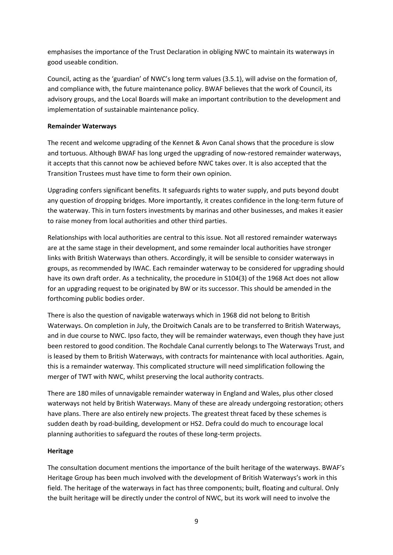emphasises the importance of the Trust Declaration in obliging NWC to maintain its waterways in good useable condition.

Council, acting as the 'guardian' of NWC's long term values (3.5.1), will advise on the formation of, and compliance with, the future maintenance policy. BWAF believes that the work of Council, its advisory groups, and the Local Boards will make an important contribution to the development and implementation of sustainable maintenance policy.

### **Remainder Waterways**

The recent and welcome upgrading of the Kennet & Avon Canal shows that the procedure is slow and tortuous. Although BWAF has long urged the upgrading of now-restored remainder waterways, it accepts that this cannot now be achieved before NWC takes over. It is also accepted that the Transition Trustees must have time to form their own opinion.

Upgrading confers significant benefits. It safeguards rights to water supply, and puts beyond doubt any question of dropping bridges. More importantly, it creates confidence in the long-term future of the waterway. This in turn fosters investments by marinas and other businesses, and makes it easier to raise money from local authorities and other third parties.

Relationships with local authorities are central to this issue. Not all restored remainder waterways are at the same stage in their development, and some remainder local authorities have stronger links with British Waterways than others. Accordingly, it will be sensible to consider waterways in groups, as recommended by IWAC. Each remainder waterway to be considered for upgrading should have its own draft order. As a technicality, the procedure in S104(3) of the 1968 Act does not allow for an upgrading request to be originated by BW or its successor. This should be amended in the forthcoming public bodies order.

There is also the question of navigable waterways which in 1968 did not belong to British Waterways. On completion in July, the Droitwich Canals are to be transferred to British Waterways, and in due course to NWC. Ipso facto, they will be remainder waterways, even though they have just been restored to good condition. The Rochdale Canal currently belongs to The Waterways Trust, and is leased by them to British Waterways, with contracts for maintenance with local authorities. Again, this is a remainder waterway. This complicated structure will need simplification following the merger of TWT with NWC, whilst preserving the local authority contracts.

There are 180 miles of unnavigable remainder waterway in England and Wales, plus other closed waterways not held by British Waterways. Many of these are already undergoing restoration; others have plans. There are also entirely new projects. The greatest threat faced by these schemes is sudden death by road-building, development or HS2. Defra could do much to encourage local planning authorities to safeguard the routes of these long-term projects.

### **Heritage**

The consultation document mentions the importance of the built heritage of the waterways. BWAF's Heritage Group has been much involved with the development of British Waterways's work in this field. The heritage of the waterways in fact has three components; built, floating and cultural. Only the built heritage will be directly under the control of NWC, but its work will need to involve the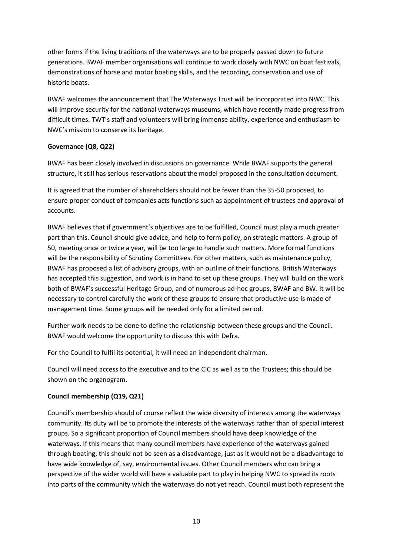other forms if the living traditions of the waterways are to be properly passed down to future generations. BWAF member organisations will continue to work closely with NWC on boat festivals, demonstrations of horse and motor boating skills, and the recording, conservation and use of historic boats.

BWAF welcomes the announcement that The Waterways Trust will be incorporated into NWC. This will improve security for the national waterways museums, which have recently made progress from difficult times. TWT's staff and volunteers will bring immense ability, experience and enthusiasm to NWC's mission to conserve its heritage.

### **Governance (Q8, Q22)**

BWAF has been closely involved in discussions on governance. While BWAF supports the general structure, it still has serious reservations about the model proposed in the consultation document.

It is agreed that the number of shareholders should not be fewer than the 35-50 proposed, to ensure proper conduct of companies acts functions such as appointment of trustees and approval of accounts.

BWAF believes that if government's objectives are to be fulfilled, Council must play a much greater part than this. Council should give advice, and help to form policy, on strategic matters. A group of 50, meeting once or twice a year, will be too large to handle such matters. More formal functions will be the responsibility of Scrutiny Committees. For other matters, such as maintenance policy, BWAF has proposed a list of advisory groups, with an outline of their functions. British Waterways has accepted this suggestion, and work is in hand to set up these groups. They will build on the work both of BWAF's successful Heritage Group, and of numerous ad-hoc groups, BWAF and BW. It will be necessary to control carefully the work of these groups to ensure that productive use is made of management time. Some groups will be needed only for a limited period.

Further work needs to be done to define the relationship between these groups and the Council. BWAF would welcome the opportunity to discuss this with Defra.

For the Council to fulfil its potential, it will need an independent chairman.

Council will need access to the executive and to the CIC as well as to the Trustees; this should be shown on the organogram.

### **Council membership (Q19, Q21)**

Council's membership should of course reflect the wide diversity of interests among the waterways community. Its duty will be to promote the interests of the waterways rather than of special interest groups. So a significant proportion of Council members should have deep knowledge of the waterways. If this means that many council members have experience of the waterways gained through boating, this should not be seen as a disadvantage, just as it would not be a disadvantage to have wide knowledge of, say, environmental issues. Other Council members who can bring a perspective of the wider world will have a valuable part to play in helping NWC to spread its roots into parts of the community which the waterways do not yet reach. Council must both represent the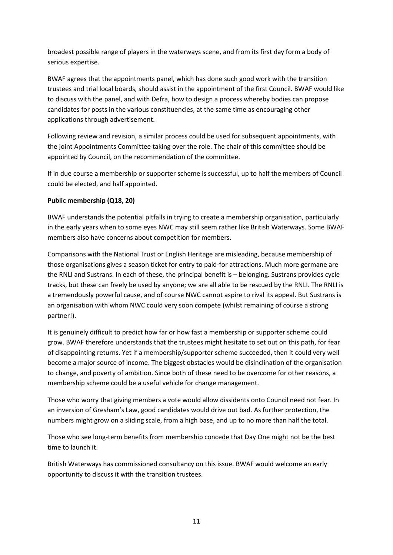broadest possible range of players in the waterways scene, and from its first day form a body of serious expertise.

BWAF agrees that the appointments panel, which has done such good work with the transition trustees and trial local boards, should assist in the appointment of the first Council. BWAF would like to discuss with the panel, and with Defra, how to design a process whereby bodies can propose candidates for posts in the various constituencies, at the same time as encouraging other applications through advertisement.

Following review and revision, a similar process could be used for subsequent appointments, with the joint Appointments Committee taking over the role. The chair of this committee should be appointed by Council, on the recommendation of the committee.

If in due course a membership or supporter scheme is successful, up to half the members of Council could be elected, and half appointed.

# **Public membership (Q18, 20)**

BWAF understands the potential pitfalls in trying to create a membership organisation, particularly in the early years when to some eyes NWC may still seem rather like British Waterways. Some BWAF members also have concerns about competition for members.

Comparisons with the National Trust or English Heritage are misleading, because membership of those organisations gives a season ticket for entry to paid-for attractions. Much more germane are the RNLI and Sustrans. In each of these, the principal benefit is – belonging. Sustrans provides cycle tracks, but these can freely be used by anyone; we are all able to be rescued by the RNLI. The RNLI is a tremendously powerful cause, and of course NWC cannot aspire to rival its appeal. But Sustrans is an organisation with whom NWC could very soon compete (whilst remaining of course a strong partner!).

It is genuinely difficult to predict how far or how fast a membership or supporter scheme could grow. BWAF therefore understands that the trustees might hesitate to set out on this path, for fear of disappointing returns. Yet if a membership/supporter scheme succeeded, then it could very well become a major source of income. The biggest obstacles would be disinclination of the organisation to change, and poverty of ambition. Since both of these need to be overcome for other reasons, a membership scheme could be a useful vehicle for change management.

Those who worry that giving members a vote would allow dissidents onto Council need not fear. In an inversion of Gresham's Law, good candidates would drive out bad. As further protection, the numbers might grow on a sliding scale, from a high base, and up to no more than half the total.

Those who see long-term benefits from membership concede that Day One might not be the best time to launch it.

British Waterways has commissioned consultancy on this issue. BWAF would welcome an early opportunity to discuss it with the transition trustees.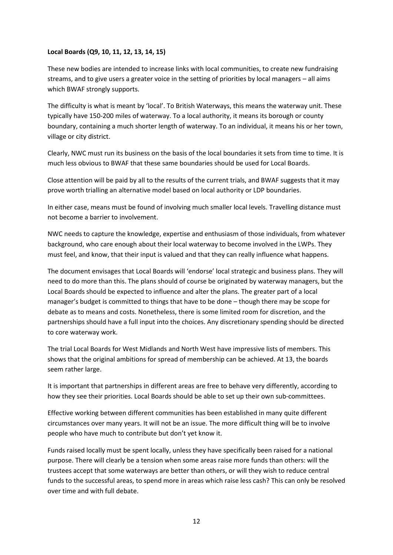#### **Local Boards (Q9, 10, 11, 12, 13, 14, 15)**

These new bodies are intended to increase links with local communities, to create new fundraising streams, and to give users a greater voice in the setting of priorities by local managers – all aims which BWAF strongly supports.

The difficulty is what is meant by 'local'. To British Waterways, this means the waterway unit. These typically have 150-200 miles of waterway. To a local authority, it means its borough or county boundary, containing a much shorter length of waterway. To an individual, it means his or her town, village or city district.

Clearly, NWC must run its business on the basis of the local boundaries it sets from time to time. It is much less obvious to BWAF that these same boundaries should be used for Local Boards.

Close attention will be paid by all to the results of the current trials, and BWAF suggests that it may prove worth trialling an alternative model based on local authority or LDP boundaries.

In either case, means must be found of involving much smaller local levels. Travelling distance must not become a barrier to involvement.

NWC needs to capture the knowledge, expertise and enthusiasm of those individuals, from whatever background, who care enough about their local waterway to become involved in the LWPs. They must feel, and know, that their input is valued and that they can really influence what happens.

The document envisages that Local Boards will 'endorse' local strategic and business plans. They will need to do more than this. The plans should of course be originated by waterway managers, but the Local Boards should be expected to influence and alter the plans. The greater part of a local manager's budget is committed to things that have to be done – though there may be scope for debate as to means and costs. Nonetheless, there is some limited room for discretion, and the partnerships should have a full input into the choices. Any discretionary spending should be directed to core waterway work.

The trial Local Boards for West Midlands and North West have impressive lists of members. This shows that the original ambitions for spread of membership can be achieved. At 13, the boards seem rather large.

It is important that partnerships in different areas are free to behave very differently, according to how they see their priorities. Local Boards should be able to set up their own sub-committees.

Effective working between different communities has been established in many quite different circumstances over many years. It will not be an issue. The more difficult thing will be to involve people who have much to contribute but don't yet know it.

Funds raised locally must be spent locally, unless they have specifically been raised for a national purpose. There will clearly be a tension when some areas raise more funds than others: will the trustees accept that some waterways are better than others, or will they wish to reduce central funds to the successful areas, to spend more in areas which raise less cash? This can only be resolved over time and with full debate.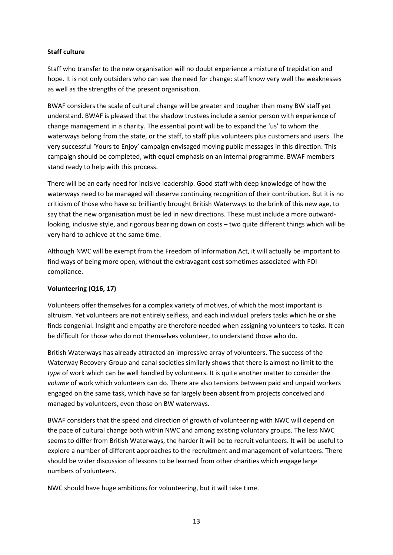### **Staff culture**

Staff who transfer to the new organisation will no doubt experience a mixture of trepidation and hope. It is not only outsiders who can see the need for change: staff know very well the weaknesses as well as the strengths of the present organisation.

BWAF considers the scale of cultural change will be greater and tougher than many BW staff yet understand. BWAF is pleased that the shadow trustees include a senior person with experience of change management in a charity. The essential point will be to expand the 'us' to whom the waterways belong from the state, or the staff, to staff plus volunteers plus customers and users. The very successful 'Yours to Enjoy' campaign envisaged moving public messages in this direction. This campaign should be completed, with equal emphasis on an internal programme. BWAF members stand ready to help with this process.

There will be an early need for incisive leadership. Good staff with deep knowledge of how the waterways need to be managed will deserve continuing recognition of their contribution. But it is no criticism of those who have so brilliantly brought British Waterways to the brink of this new age, to say that the new organisation must be led in new directions. These must include a more outwardlooking, inclusive style, and rigorous bearing down on costs – two quite different things which will be very hard to achieve at the same time.

Although NWC will be exempt from the Freedom of Information Act, it will actually be important to find ways of being more open, without the extravagant cost sometimes associated with FOI compliance.

### **Volunteering (Q16, 17)**

Volunteers offer themselves for a complex variety of motives, of which the most important is altruism. Yet volunteers are not entirely selfless, and each individual prefers tasks which he or she finds congenial. Insight and empathy are therefore needed when assigning volunteers to tasks. It can be difficult for those who do not themselves volunteer, to understand those who do.

British Waterways has already attracted an impressive array of volunteers. The success of the Waterway Recovery Group and canal societies similarly shows that there is almost no limit to the *type* of work which can be well handled by volunteers. It is quite another matter to consider the *volume* of work which volunteers can do. There are also tensions between paid and unpaid workers engaged on the same task, which have so far largely been absent from projects conceived and managed by volunteers, even those on BW waterways.

BWAF considers that the speed and direction of growth of volunteering with NWC will depend on the pace of cultural change both within NWC and among existing voluntary groups. The less NWC seems to differ from British Waterways, the harder it will be to recruit volunteers. It will be useful to explore a number of different approaches to the recruitment and management of volunteers. There should be wider discussion of lessons to be learned from other charities which engage large numbers of volunteers.

NWC should have huge ambitions for volunteering, but it will take time.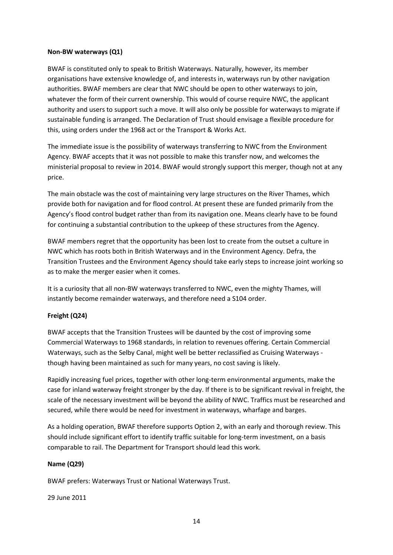#### **Non-BW waterways (Q1)**

BWAF is constituted only to speak to British Waterways. Naturally, however, its member organisations have extensive knowledge of, and interests in, waterways run by other navigation authorities. BWAF members are clear that NWC should be open to other waterways to join, whatever the form of their current ownership. This would of course require NWC, the applicant authority and users to support such a move. It will also only be possible for waterways to migrate if sustainable funding is arranged. The Declaration of Trust should envisage a flexible procedure for this, using orders under the 1968 act or the Transport & Works Act.

The immediate issue is the possibility of waterways transferring to NWC from the Environment Agency. BWAF accepts that it was not possible to make this transfer now, and welcomes the ministerial proposal to review in 2014. BWAF would strongly support this merger, though not at any price.

The main obstacle was the cost of maintaining very large structures on the River Thames, which provide both for navigation and for flood control. At present these are funded primarily from the Agency's flood control budget rather than from its navigation one. Means clearly have to be found for continuing a substantial contribution to the upkeep of these structures from the Agency.

BWAF members regret that the opportunity has been lost to create from the outset a culture in NWC which has roots both in British Waterways and in the Environment Agency. Defra, the Transition Trustees and the Environment Agency should take early steps to increase joint working so as to make the merger easier when it comes.

It is a curiosity that all non-BW waterways transferred to NWC, even the mighty Thames, will instantly become remainder waterways, and therefore need a S104 order.

### **Freight (Q24)**

BWAF accepts that the Transition Trustees will be daunted by the cost of improving some Commercial Waterways to 1968 standards, in relation to revenues offering. Certain Commercial Waterways, such as the Selby Canal, might well be better reclassified as Cruising Waterways though having been maintained as such for many years, no cost saving is likely.

Rapidly increasing fuel prices, together with other long-term environmental arguments, make the case for inland waterway freight stronger by the day. If there is to be significant revival in freight, the scale of the necessary investment will be beyond the ability of NWC. Traffics must be researched and secured, while there would be need for investment in waterways, wharfage and barges.

As a holding operation, BWAF therefore supports Option 2, with an early and thorough review. This should include significant effort to identify traffic suitable for long-term investment, on a basis comparable to rail. The Department for Transport should lead this work.

### **Name (Q29)**

BWAF prefers: Waterways Trust or National Waterways Trust.

29 June 2011